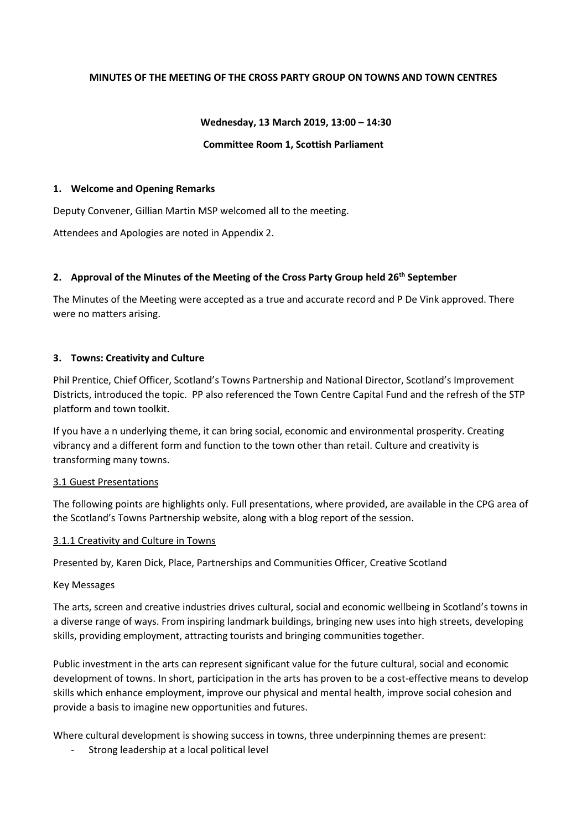### **MINUTES OF THE MEETING OF THE CROSS PARTY GROUP ON TOWNS AND TOWN CENTRES**

#### **Wednesday, 13 March 2019, 13:00 – 14:30**

#### **Committee Room 1, Scottish Parliament**

#### **1. Welcome and Opening Remarks**

Deputy Convener, Gillian Martin MSP welcomed all to the meeting.

Attendees and Apologies are noted in Appendix 2.

### **2. Approval of the Minutes of the Meeting of the Cross Party Group held 26th September**

The Minutes of the Meeting were accepted as a true and accurate record and P De Vink approved. There were no matters arising.

#### **3. Towns: Creativity and Culture**

Phil Prentice, Chief Officer, Scotland's Towns Partnership and National Director, Scotland's Improvement Districts, introduced the topic. PP also referenced the Town Centre Capital Fund and the refresh of the STP platform and town toolkit.

If you have a n underlying theme, it can bring social, economic and environmental prosperity. Creating vibrancy and a different form and function to the town other than retail. Culture and creativity is transforming many towns.

#### 3.1 Guest Presentations

The following points are highlights only. Full presentations, where provided, are available in the CPG area of the Scotland's Towns Partnership website, along with a blog report of the session.

### 3.1.1 Creativity and Culture in Towns

Presented by, Karen Dick, Place, Partnerships and Communities Officer, Creative Scotland

#### Key Messages

The arts, screen and creative industries drives cultural, social and economic wellbeing in Scotland's towns in a diverse range of ways. From inspiring landmark buildings, bringing new uses into high streets, developing skills, providing employment, attracting tourists and bringing communities together.

Public investment in the arts can represent significant value for the future cultural, social and economic development of towns. In short, participation in the arts has proven to be a cost-effective means to develop skills which enhance employment, improve our physical and mental health, improve social cohesion and provide a basis to imagine new opportunities and futures.

Where cultural development is showing success in towns, three underpinning themes are present:

Strong leadership at a local political level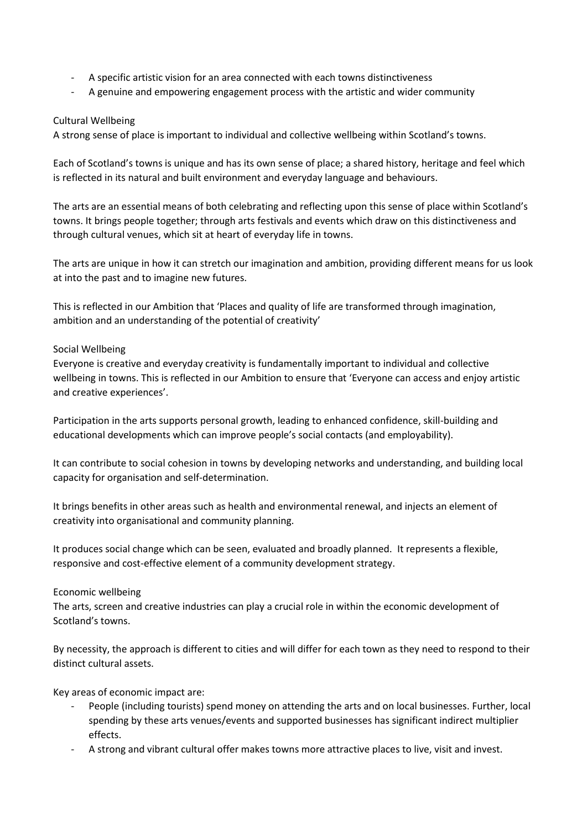- A specific artistic vision for an area connected with each towns distinctiveness
- A genuine and empowering engagement process with the artistic and wider community

## Cultural Wellbeing

A strong sense of place is important to individual and collective wellbeing within Scotland's towns.

Each of Scotland's towns is unique and has its own sense of place; a shared history, heritage and feel which is reflected in its natural and built environment and everyday language and behaviours.

The arts are an essential means of both celebrating and reflecting upon this sense of place within Scotland's towns. It brings people together; through arts festivals and events which draw on this distinctiveness and through cultural venues, which sit at heart of everyday life in towns.

The arts are unique in how it can stretch our imagination and ambition, providing different means for us look at into the past and to imagine new futures.

This is reflected in our Ambition that 'Places and quality of life are transformed through imagination, ambition and an understanding of the potential of creativity'

### Social Wellbeing

Everyone is creative and everyday creativity is fundamentally important to individual and collective wellbeing in towns. This is reflected in our Ambition to ensure that 'Everyone can access and enjoy artistic and creative experiences'.

Participation in the arts supports personal growth, leading to enhanced confidence, skill-building and educational developments which can improve people's social contacts (and employability).

It can contribute to social cohesion in towns by developing networks and understanding, and building local capacity for organisation and self-determination.

It brings benefits in other areas such as health and environmental renewal, and injects an element of creativity into organisational and community planning.

It produces social change which can be seen, evaluated and broadly planned. It represents a flexible, responsive and cost-effective element of a community development strategy.

### Economic wellbeing

The arts, screen and creative industries can play a crucial role in within the economic development of Scotland's towns.

By necessity, the approach is different to cities and will differ for each town as they need to respond to their distinct cultural assets.

Key areas of economic impact are:

- People (including tourists) spend money on attending the arts and on local businesses. Further, local spending by these arts venues/events and supported businesses has significant indirect multiplier effects.
- A strong and vibrant cultural offer makes towns more attractive places to live, visit and invest.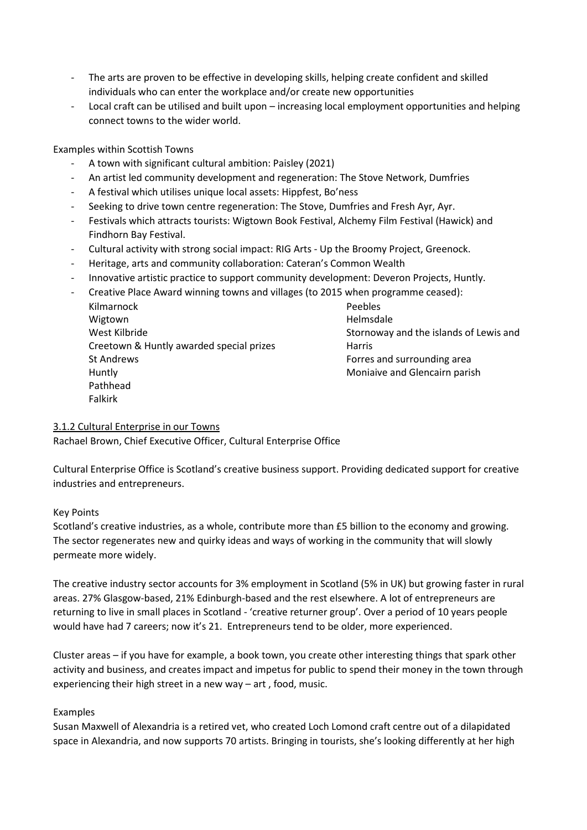- The arts are proven to be effective in developing skills, helping create confident and skilled individuals who can enter the workplace and/or create new opportunities
- Local craft can be utilised and built upon increasing local employment opportunities and helping connect towns to the wider world.

## Examples within Scottish Towns

- A town with significant cultural ambition: Paisley (2021)
- An artist led community development and regeneration: The Stove Network, Dumfries
- A festival which utilises unique local assets: Hippfest, Bo'ness
- Seeking to drive town centre regeneration: The Stove, Dumfries and Fresh Ayr, Ayr.
- Festivals which attracts tourists: Wigtown Book Festival, Alchemy Film Festival (Hawick) and Findhorn Bay Festival.
- Cultural activity with strong social impact: RIG Arts Up the Broomy Project, Greenock.
- Heritage, arts and community collaboration: Cateran's Common Wealth
- Innovative artistic practice to support community development: Deveron Projects, Huntly.
- Creative Place Award winning towns and villages (to 2015 when programme ceased): Kilmarnock Wigtown West Kilbride Creetown & Huntly awarded special prizes St Andrews Huntly Pathhead Falkirk Peebles Helmsdale Stornoway and the islands of Lewis and Harris Forres and surrounding area Moniaive and Glencairn parish

## 3.1.2 Cultural Enterprise in our Towns

Rachael Brown, Chief Executive Officer, Cultural Enterprise Office

Cultural Enterprise Office is Scotland's creative business support. Providing dedicated support for creative industries and entrepreneurs.

### Key Points

Scotland's creative industries, as a whole, contribute more than £5 billion to the economy and growing. The sector regenerates new and quirky ideas and ways of working in the community that will slowly permeate more widely.

The creative industry sector accounts for 3% employment in Scotland (5% in UK) but growing faster in rural areas. 27% Glasgow-based, 21% Edinburgh-based and the rest elsewhere. A lot of entrepreneurs are returning to live in small places in Scotland - 'creative returner group'. Over a period of 10 years people would have had 7 careers; now it's 21. Entrepreneurs tend to be older, more experienced.

Cluster areas – if you have for example, a book town, you create other interesting things that spark other activity and business, and creates impact and impetus for public to spend their money in the town through experiencing their high street in a new way – art , food, music.

### Examples

Susan Maxwell of Alexandria is a retired vet, who created Loch Lomond craft centre out of a dilapidated space in Alexandria, and now supports 70 artists. Bringing in tourists, she's looking differently at her high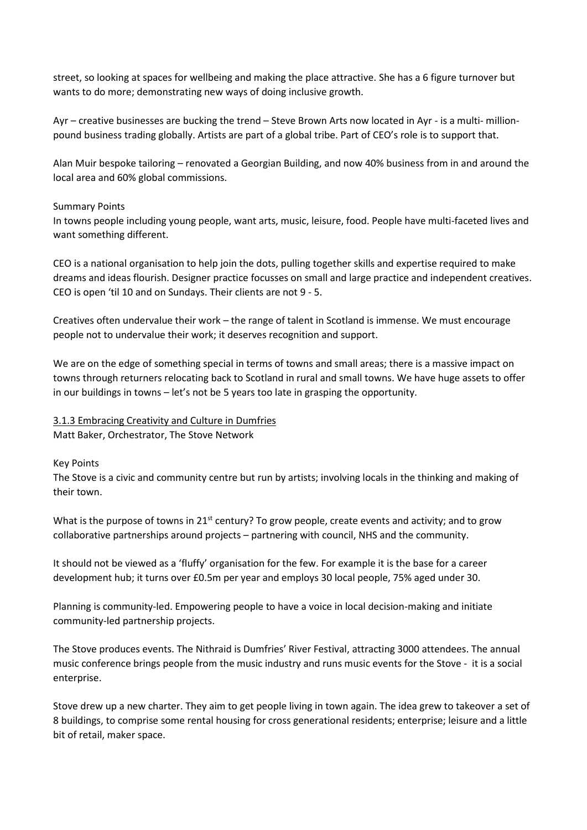street, so looking at spaces for wellbeing and making the place attractive. She has a 6 figure turnover but wants to do more; demonstrating new ways of doing inclusive growth.

Ayr – creative businesses are bucking the trend – Steve Brown Arts now located in Ayr - is a multi- millionpound business trading globally. Artists are part of a global tribe. Part of CEO's role is to support that.

Alan Muir bespoke tailoring – renovated a Georgian Building, and now 40% business from in and around the local area and 60% global commissions.

### Summary Points

In towns people including young people, want arts, music, leisure, food. People have multi-faceted lives and want something different.

CEO is a national organisation to help join the dots, pulling together skills and expertise required to make dreams and ideas flourish. Designer practice focusses on small and large practice and independent creatives. CEO is open 'til 10 and on Sundays. Their clients are not 9 - 5.

Creatives often undervalue their work – the range of talent in Scotland is immense. We must encourage people not to undervalue their work; it deserves recognition and support.

We are on the edge of something special in terms of towns and small areas; there is a massive impact on towns through returners relocating back to Scotland in rural and small towns. We have huge assets to offer in our buildings in towns – let's not be 5 years too late in grasping the opportunity.

## 3.1.3 Embracing Creativity and Culture in Dumfries

Matt Baker, Orchestrator, The Stove Network

## Key Points

The Stove is a civic and community centre but run by artists; involving locals in the thinking and making of their town.

What is the purpose of towns in 21st century? To grow people, create events and activity; and to grow collaborative partnerships around projects – partnering with council, NHS and the community.

It should not be viewed as a 'fluffy' organisation for the few. For example it is the base for a career development hub; it turns over £0.5m per year and employs 30 local people, 75% aged under 30.

Planning is community-led. Empowering people to have a voice in local decision-making and initiate community-led partnership projects.

The Stove produces events. The Nithraid is Dumfries' River Festival, attracting 3000 attendees. The annual music conference brings people from the music industry and runs music events for the Stove - it is a social enterprise.

Stove drew up a new charter. They aim to get people living in town again. The idea grew to takeover a set of 8 buildings, to comprise some rental housing for cross generational residents; enterprise; leisure and a little bit of retail, maker space.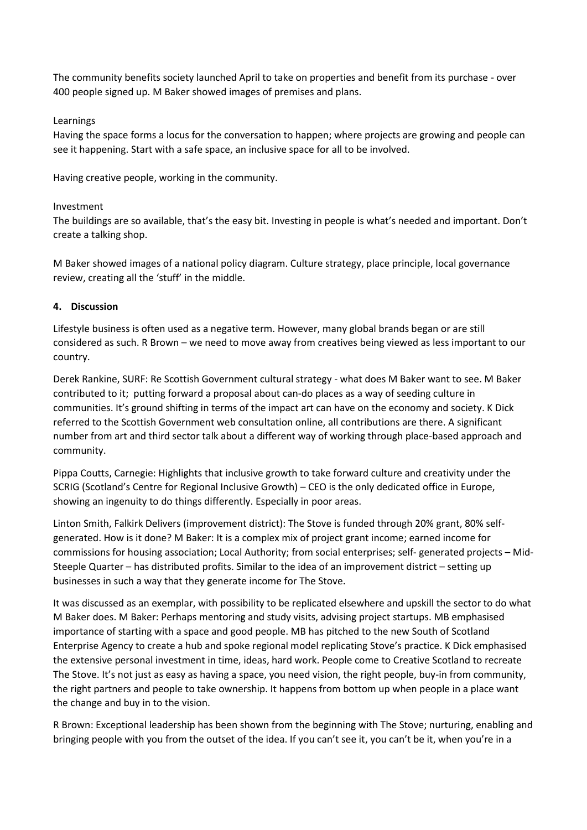The community benefits society launched April to take on properties and benefit from its purchase - over 400 people signed up. M Baker showed images of premises and plans.

## Learnings

Having the space forms a locus for the conversation to happen; where projects are growing and people can see it happening. Start with a safe space, an inclusive space for all to be involved.

Having creative people, working in the community.

## Investment

The buildings are so available, that's the easy bit. Investing in people is what's needed and important. Don't create a talking shop.

M Baker showed images of a national policy diagram. Culture strategy, place principle, local governance review, creating all the 'stuff' in the middle.

## **4. Discussion**

Lifestyle business is often used as a negative term. However, many global brands began or are still considered as such. R Brown – we need to move away from creatives being viewed as less important to our country.

Derek Rankine, SURF: Re Scottish Government cultural strategy - what does M Baker want to see. M Baker contributed to it; putting forward a proposal about can-do places as a way of seeding culture in communities. It's ground shifting in terms of the impact art can have on the economy and society. K Dick referred to the Scottish Government web consultation online, all contributions are there. A significant number from art and third sector talk about a different way of working through place-based approach and community.

Pippa Coutts, Carnegie: Highlights that inclusive growth to take forward culture and creativity under the SCRIG (Scotland's Centre for Regional Inclusive Growth) – CEO is the only dedicated office in Europe, showing an ingenuity to do things differently. Especially in poor areas.

Linton Smith, Falkirk Delivers (improvement district): The Stove is funded through 20% grant, 80% selfgenerated. How is it done? M Baker: It is a complex mix of project grant income; earned income for commissions for housing association; Local Authority; from social enterprises; self- generated projects – Mid-Steeple Quarter – has distributed profits. Similar to the idea of an improvement district – setting up businesses in such a way that they generate income for The Stove.

It was discussed as an exemplar, with possibility to be replicated elsewhere and upskill the sector to do what M Baker does. M Baker: Perhaps mentoring and study visits, advising project startups. MB emphasised importance of starting with a space and good people. MB has pitched to the new South of Scotland Enterprise Agency to create a hub and spoke regional model replicating Stove's practice. K Dick emphasised the extensive personal investment in time, ideas, hard work. People come to Creative Scotland to recreate The Stove. It's not just as easy as having a space, you need vision, the right people, buy-in from community, the right partners and people to take ownership. It happens from bottom up when people in a place want the change and buy in to the vision.

R Brown: Exceptional leadership has been shown from the beginning with The Stove; nurturing, enabling and bringing people with you from the outset of the idea. If you can't see it, you can't be it, when you're in a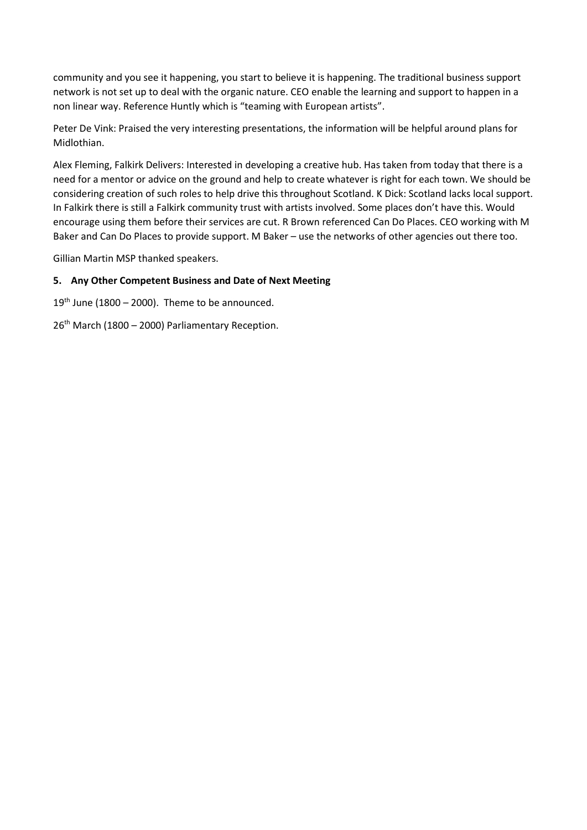community and you see it happening, you start to believe it is happening. The traditional business support network is not set up to deal with the organic nature. CEO enable the learning and support to happen in a non linear way. Reference Huntly which is "teaming with European artists".

Peter De Vink: Praised the very interesting presentations, the information will be helpful around plans for Midlothian.

Alex Fleming, Falkirk Delivers: Interested in developing a creative hub. Has taken from today that there is a need for a mentor or advice on the ground and help to create whatever is right for each town. We should be considering creation of such roles to help drive this throughout Scotland. K Dick: Scotland lacks local support. In Falkirk there is still a Falkirk community trust with artists involved. Some places don't have this. Would encourage using them before their services are cut. R Brown referenced Can Do Places. CEO working with M Baker and Can Do Places to provide support. M Baker – use the networks of other agencies out there too.

Gillian Martin MSP thanked speakers.

### **5. Any Other Competent Business and Date of Next Meeting**

 $19<sup>th</sup>$  June (1800 – 2000). Theme to be announced.

26<sup>th</sup> March (1800 – 2000) Parliamentary Reception.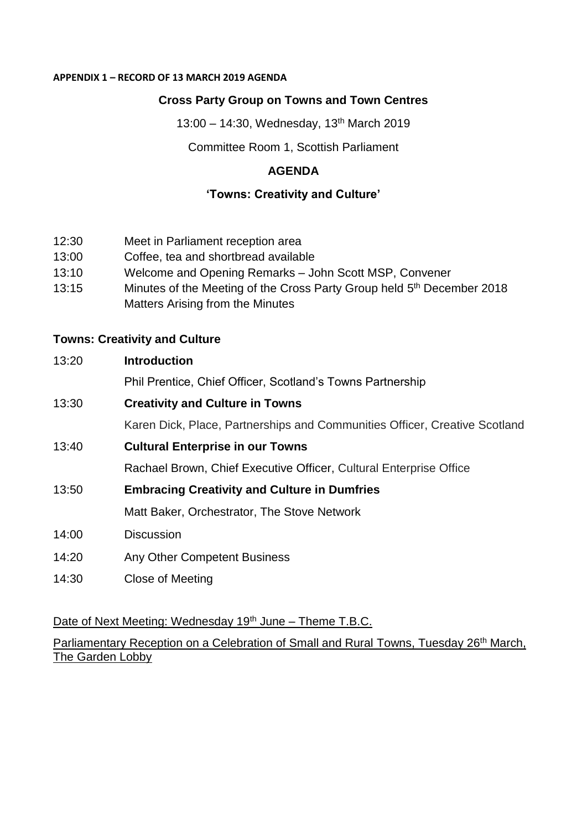## **APPENDIX 1 – RECORD OF 13 MARCH 2019 AGENDA**

# **Cross Party Group on Towns and Town Centres**

13:00 – 14:30, Wednesday, 13th March 2019

Committee Room 1, Scottish Parliament

# **AGENDA**

## **'Towns: Creativity and Culture'**

- 12:30 Meet in Parliament reception area
- 13:00 Coffee, tea and shortbread available
- 13:10 Welcome and Opening Remarks John Scott MSP, Convener
- 13:15 Minutes of the Meeting of the Cross Party Group held 5<sup>th</sup> December 2018 Matters Arising from the Minutes

## **Towns: Creativity and Culture**

## 13:20 **Introduction**

Phil Prentice, Chief Officer, Scotland's Towns Partnership

## 13:30 **Creativity and Culture in Towns**

Karen Dick, Place, Partnerships and Communities Officer, Creative Scotland

# 13:40 **Cultural Enterprise in our Towns**

Rachael Brown, Chief Executive Officer, Cultural Enterprise Office

13:50 **Embracing Creativity and Culture in Dumfries**

Matt Baker, Orchestrator, The Stove Network

- 14:00 Discussion
- 14:20 Any Other Competent Business
- 14:30 Close of Meeting

Date of Next Meeting: Wednesday 19<sup>th</sup> June – Theme T.B.C.

Parliamentary Reception on a Celebration of Small and Rural Towns, Tuesday 26<sup>th</sup> March, The Garden Lobby